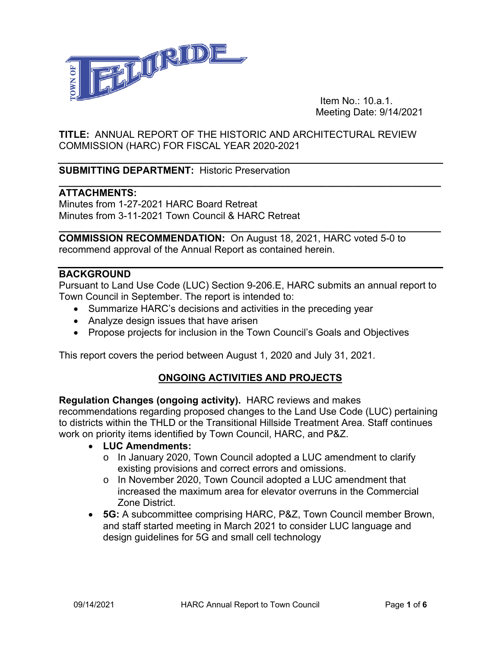

Item No.: 10.a.1. Meeting Date: 9/14/2021

# **TITLE:** ANNUAL REPORT OF THE HISTORIC AND ARCHITECTURAL REVIEW COMMISSION (HARC) FOR FISCAL YEAR 2020-2021

# **SUBMITTING DEPARTMENT:** Historic Preservation

#### **\_\_\_\_\_\_\_\_\_\_\_\_\_\_\_\_\_\_\_\_\_\_\_\_\_\_\_\_\_\_\_\_\_\_\_\_\_\_\_\_\_\_\_\_\_\_\_\_\_\_\_\_\_\_\_\_\_\_\_\_\_\_\_\_\_\_\_\_\_\_ ATTACHMENTS:**

Minutes from 1-27-2021 HARC Board Retreat Minutes from 3-11-2021 Town Council & HARC Retreat

**\_\_\_\_\_\_\_\_\_\_\_\_\_\_\_\_\_\_\_\_\_\_\_\_\_\_\_\_\_\_\_\_\_\_\_\_\_\_\_\_\_\_\_\_\_\_\_\_\_\_\_\_\_\_\_\_\_\_\_\_\_\_\_\_\_\_\_\_\_\_ COMMISSION RECOMMENDATION:** On August 18, 2021, HARC voted 5-0 to recommend approval of the Annual Report as contained herein.

### **BACKGROUND**

Pursuant to Land Use Code (LUC) Section 9-206.E, HARC submits an annual report to Town Council in September. The report is intended to:

- Summarize HARC's decisions and activities in the preceding year
- Analyze design issues that have arisen
- Propose projects for inclusion in the Town Council's Goals and Objectives

This report covers the period between August 1, 2020 and July 31, 2021.

# **ONGOING ACTIVITIES AND PROJECTS**

**Regulation Changes (ongoing activity).** HARC reviews and makes recommendations regarding proposed changes to the Land Use Code (LUC) pertaining to districts within the THLD or the Transitional Hillside Treatment Area. Staff continues work on priority items identified by Town Council, HARC, and P&Z.

- **LUC Amendments:**
	- o In January 2020, Town Council adopted a LUC amendment to clarify existing provisions and correct errors and omissions.
	- o In November 2020, Town Council adopted a LUC amendment that increased the maximum area for elevator overruns in the Commercial Zone District.
- **5G:** A subcommittee comprising HARC, P&Z, Town Council member Brown, and staff started meeting in March 2021 to consider LUC language and design guidelines for 5G and small cell technology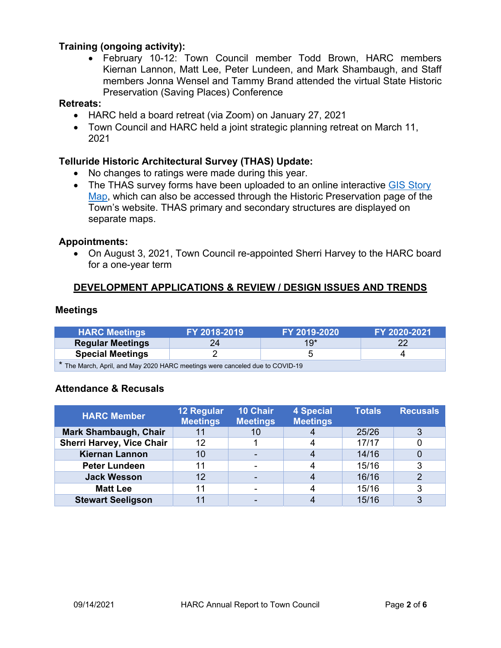# **Training (ongoing activity):**

 February 10-12: Town Council member Todd Brown, HARC members Kiernan Lannon, Matt Lee, Peter Lundeen, and Mark Shambaugh, and Staff members Jonna Wensel and Tammy Brand attended the virtual State Historic Preservation (Saving Places) Conference

#### **Retreats:**

- HARC held a board retreat (via Zoom) on January 27, 2021
- Town Council and HARC held a joint strategic planning retreat on March 11, 2021

#### **Telluride Historic Architectural Survey (THAS) Update:**

- No changes to ratings were made during this year.
- The THAS survey forms have been uploaded to an online interactive GIS Story Map, which can also be accessed through the Historic Preservation page of the Town's website. THAS primary and secondary structures are displayed on separate maps.

#### **Appointments:**

 On August 3, 2021, Town Council re-appointed Sherri Harvey to the HARC board for a one-year term

### **DEVELOPMENT APPLICATIONS & REVIEW / DESIGN ISSUES AND TRENDS**

#### **Meetings**

| <b>HARC Meetings</b>                                                         | FY 2018-2019 | ا FY 2019-2020 ا | FY 2020-2021 |  |  |  |
|------------------------------------------------------------------------------|--------------|------------------|--------------|--|--|--|
| <b>Regular Meetings</b>                                                      |              | $10*$            |              |  |  |  |
| <b>Special Meetings</b>                                                      |              |                  |              |  |  |  |
| * The March, April, and May 2020 HARC meetings were canceled due to COVID-19 |              |                  |              |  |  |  |

fch, April, and May 2020 HARC meetings were canceled due to COVID-19 f

# **Attendance & Recusals**

| <b>HARC Member</b>               | <b>12 Regular</b><br><b>Meetings</b> | <b>10 Chair</b><br><b>Meetings</b> | <b>4 Special</b><br><b>Meetings</b> | <b>Totals</b> | <b>Recusals</b> |
|----------------------------------|--------------------------------------|------------------------------------|-------------------------------------|---------------|-----------------|
| <b>Mark Shambaugh, Chair</b>     |                                      | 10                                 |                                     | 25/26         | 3               |
| <b>Sherri Harvey, Vice Chair</b> | 12                                   |                                    |                                     | 17/17         |                 |
| <b>Kiernan Lannon</b>            | 10                                   | -                                  |                                     | 14/16         |                 |
| <b>Peter Lundeen</b>             | 11                                   | ۰                                  |                                     | 15/16         | 3               |
| <b>Jack Wesson</b>               | 12                                   | -                                  |                                     | 16/16         | 2               |
| <b>Matt Lee</b>                  | 11                                   | -                                  |                                     | 15/16         | 3               |
| <b>Stewart Seeligson</b>         |                                      | -                                  |                                     | 15/16         | 3               |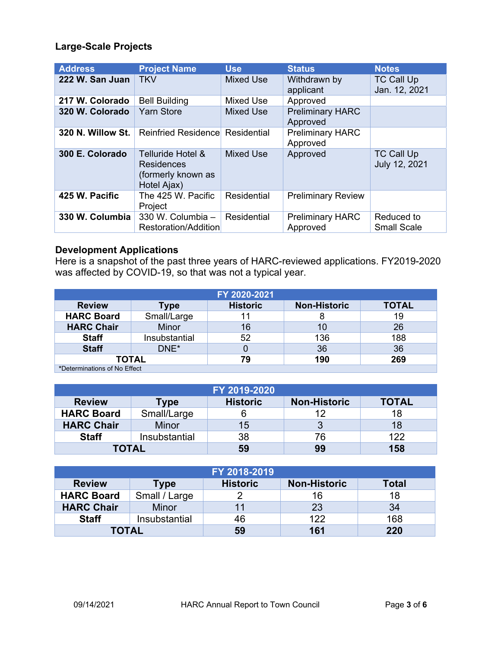# **Large-Scale Projects**

| <b>Address</b>    | <b>Project Name</b>                                                  | <b>Use</b>       | <b>Status</b>                       | <b>Notes</b>                       |
|-------------------|----------------------------------------------------------------------|------------------|-------------------------------------|------------------------------------|
| 222 W. San Juan   | <b>TKV</b>                                                           | <b>Mixed Use</b> | Withdrawn by<br>applicant           | <b>TC Call Up</b><br>Jan. 12, 2021 |
| 217 W. Colorado   | <b>Bell Building</b>                                                 | Mixed Use        | Approved                            |                                    |
| 320 W. Colorado   | <b>Yarn Store</b>                                                    | <b>Mixed Use</b> | <b>Preliminary HARC</b><br>Approved |                                    |
| 320 N. Willow St. | Reinfried Residence Residential                                      |                  | <b>Preliminary HARC</b><br>Approved |                                    |
| 300 E. Colorado   | Telluride Hotel &<br>Residences<br>(formerly known as<br>Hotel Ajax) | <b>Mixed Use</b> | Approved                            | <b>TC Call Up</b><br>July 12, 2021 |
| 425 W. Pacific    | The 425 W. Pacific<br>Project                                        | Residential      | <b>Preliminary Review</b>           |                                    |
| 330 W. Columbia   | 330 W. Columbia -<br>Restoration/Addition                            | Residential      | <b>Preliminary HARC</b><br>Approved | Reduced to<br><b>Small Scale</b>   |

# **Development Applications**

Here is a snapshot of the past three years of HARC-reviewed applications. FY2019-2020 was affected by COVID-19, so that was not a typical year.

| FY 2020-2021                 |                  |                 |                     |              |  |
|------------------------------|------------------|-----------------|---------------------|--------------|--|
| <b>Review</b>                | Type             | <b>Historic</b> | <b>Non-Historic</b> | <b>TOTAL</b> |  |
| <b>HARC Board</b>            | Small/Large      |                 | 8                   | 19           |  |
| <b>HARC Chair</b>            | <b>Minor</b>     | 16              | 10                  | 26           |  |
| <b>Staff</b>                 | Insubstantial    | 52              | 136                 | 188          |  |
| <b>Staff</b>                 | DNE <sup>*</sup> |                 | 36                  | 36           |  |
| TOTAL                        |                  | 79              | 190                 | 269          |  |
| *Determinations of No Effect |                  |                 |                     |              |  |

| FY 2019-2020      |               |                 |                     |              |  |
|-------------------|---------------|-----------------|---------------------|--------------|--|
| <b>Review</b>     | Type          | <b>Historic</b> | <b>Non-Historic</b> | <b>TOTAL</b> |  |
| <b>HARC Board</b> | Small/Large   |                 | 12                  | 18           |  |
| <b>HARC Chair</b> | <b>Minor</b>  | 15              |                     |              |  |
| <b>Staff</b>      | Insubstantial | 38              | 76                  | 122          |  |
| TOTAL             |               | 59              | 99                  | 158          |  |

| FY 2018-2019      |               |                 |                     |              |  |
|-------------------|---------------|-----------------|---------------------|--------------|--|
| <b>Review</b>     | Type          | <b>Historic</b> | <b>Non-Historic</b> | <b>Total</b> |  |
| <b>HARC Board</b> | Small / Large |                 | 16                  | 18           |  |
| <b>HARC Chair</b> | <b>Minor</b>  | 11              | 23                  | 34           |  |
| <b>Staff</b>      | Insubstantial | 46              | 122                 | 168          |  |
| <b>TOTAL</b>      |               | 59              | 161                 | 220          |  |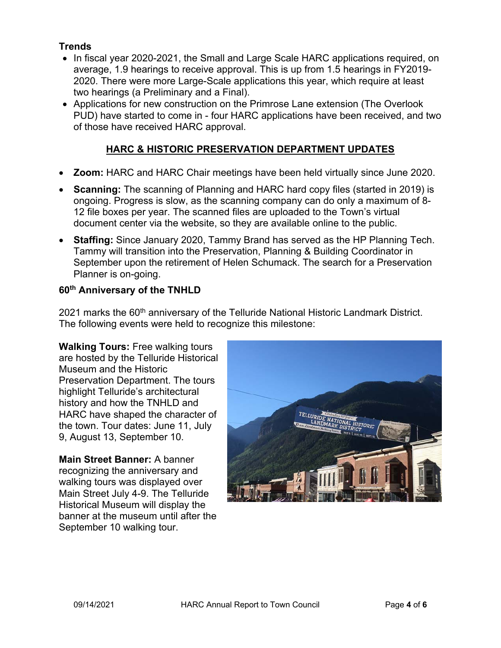# **Trends**

- In fiscal year 2020-2021, the Small and Large Scale HARC applications required, on average, 1.9 hearings to receive approval. This is up from 1.5 hearings in FY2019- 2020. There were more Large-Scale applications this year, which require at least two hearings (a Preliminary and a Final).
- Applications for new construction on the Primrose Lane extension (The Overlook PUD) have started to come in - four HARC applications have been received, and two of those have received HARC approval.

# **HARC & HISTORIC PRESERVATION DEPARTMENT UPDATES**

- **Zoom:** HARC and HARC Chair meetings have been held virtually since June 2020.
- **Scanning:** The scanning of Planning and HARC hard copy files (started in 2019) is ongoing. Progress is slow, as the scanning company can do only a maximum of 8- 12 file boxes per year. The scanned files are uploaded to the Town's virtual document center via the website, so they are available online to the public.
- **Staffing:** Since January 2020, Tammy Brand has served as the HP Planning Tech. Tammy will transition into the Preservation, Planning & Building Coordinator in September upon the retirement of Helen Schumack. The search for a Preservation Planner is on-going.

# **60th Anniversary of the TNHLD**

2021 marks the 60<sup>th</sup> anniversary of the Telluride National Historic Landmark District. The following events were held to recognize this milestone:

**Walking Tours:** Free walking tours are hosted by the Telluride Historical Museum and the Historic Preservation Department. The tours highlight Telluride's architectural history and how the TNHLD and HARC have shaped the character of the town. Tour dates: June 11, July 9, August 13, September 10.

**Main Street Banner:** A banner recognizing the anniversary and walking tours was displayed over Main Street July 4-9. The Telluride Historical Museum will display the banner at the museum until after the September 10 walking tour.

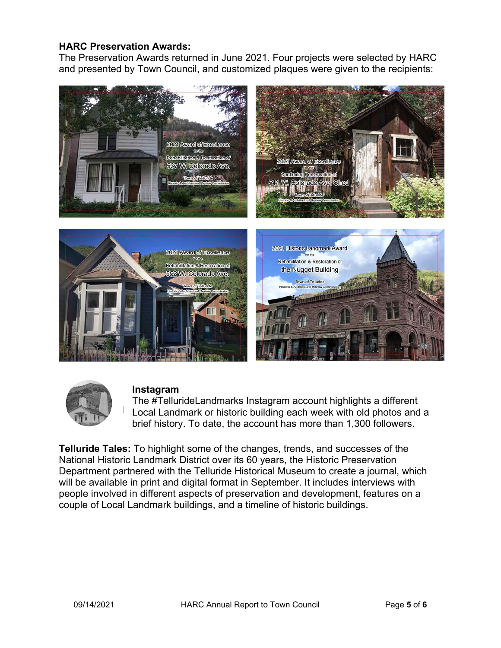### **HARC Preservation Awards:**

The Preservation Awards returned in June 2021. Four projects were selected by HARC and presented by Town Council, and customized plaques were given to the recipients:





### **Instagram**

The #TellurideLandmarks Instagram account highlights a different Local Landmark or historic building each week with old photos and a brief history. To date, the account has more than 1,300 followers.

**Telluride Tales:** To highlight some of the changes, trends, and successes of the National Historic Landmark District over its 60 years, the Historic Preservation Department partnered with the Telluride Historical Museum to create a journal, which will be available in print and digital format in September. It includes interviews with people involved in different aspects of preservation and development, features on a couple of Local Landmark buildings, and a timeline of historic buildings.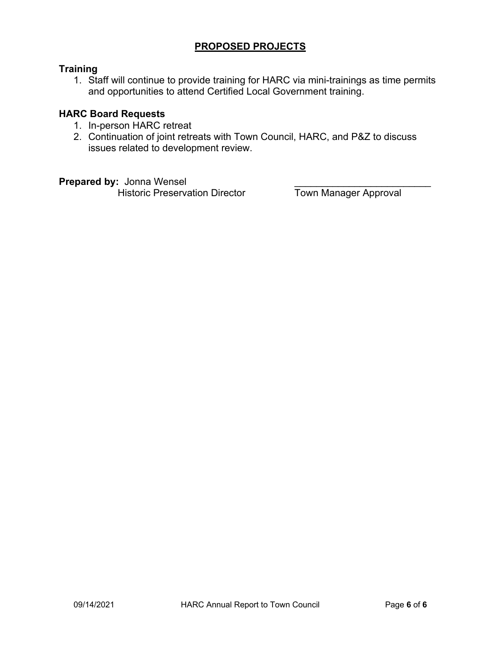# **PROPOSED PROJECTS**

### **Training**

1. Staff will continue to provide training for HARC via mini-trainings as time permits and opportunities to attend Certified Local Government training.

### **HARC Board Requests**

- 1. In-person HARC retreat
- 2. Continuation of joint retreats with Town Council, HARC, and P&Z to discuss issues related to development review.

**Prepared by:** Jonna Wensel<br>
Historic Preservation Director **Frown Manager Approval** Historic Preservation Director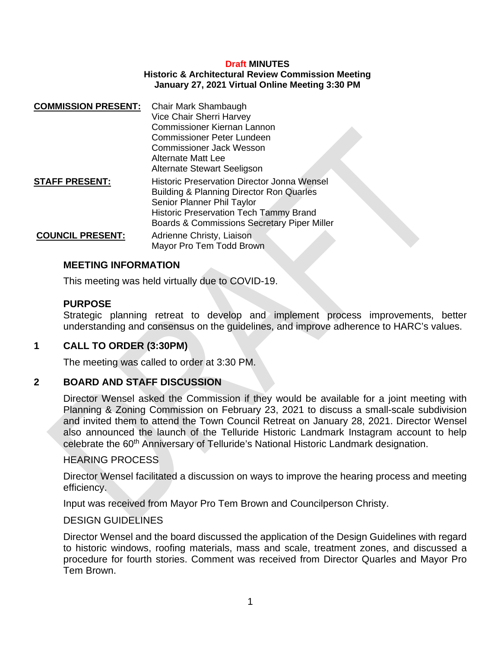#### **Draft MINUTES**

#### **Historic & Architectural Review Commission Meeting January 27, 2021 Virtual Online Meeting 3:30 PM**

**COMMISSION PRESENT:** Chair Mark Shambaugh Vice Chair Sherri Harvey Commissioner Kiernan Lannon Commissioner Peter Lundeen Commissioner Jack Wesson Alternate Matt Lee Alternate Stewart Seeligson **STAFF PRESENT:** Historic Preservation Director Jonna Wensel Building & Planning Director Ron Quarles Senior Planner Phil Taylor Historic Preservation Tech Tammy Brand Boards & Commissions Secretary Piper Miller **COUNCIL PRESENT:** Adrienne Christy, Liaison Mayor Pro Tem Todd Brown

#### **MEETING INFORMATION**

This meeting was held virtually due to COVID-19.

#### **PURPOSE**

Strategic planning retreat to develop and implement process improvements, better understanding and consensus on the guidelines, and improve adherence to HARC's values.

### **1 CALL TO ORDER (3:30PM)**

The meeting was called to order at 3:30 PM.

# **2 BOARD AND STAFF DISCUSSION**

Director Wensel asked the Commission if they would be available for a joint meeting with Planning & Zoning Commission on February 23, 2021 to discuss a small-scale subdivision and invited them to attend the Town Council Retreat on January 28, 2021. Director Wensel also announced the launch of the Telluride Historic Landmark Instagram account to help celebrate the 60<sup>th</sup> Anniversary of Telluride's National Historic Landmark designation.

#### HEARING PROCESS

Director Wensel facilitated a discussion on ways to improve the hearing process and meeting efficiency.

Input was received from Mayor Pro Tem Brown and Councilperson Christy.

#### DESIGN GUIDELINES

Director Wensel and the board discussed the application of the Design Guidelines with regard to historic windows, roofing materials, mass and scale, treatment zones, and discussed a procedure for fourth stories. Comment was received from Director Quarles and Mayor Pro Tem Brown.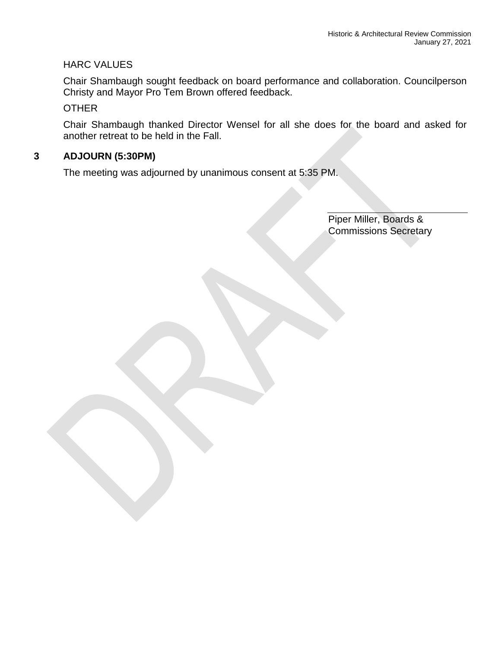# HARC VALUES

Chair Shambaugh sought feedback on board performance and collaboration. Councilperson Christy and Mayor Pro Tem Brown offered feedback.

### **OTHER**

Chair Shambaugh thanked Director Wensel for all she does for the board and asked for another retreat to be held in the Fall.

### **3 ADJOURN (5:30PM)**

The meeting was adjourned by unanimous consent at 5:35 PM.

Piper Miller, Boards & Commissions Secretary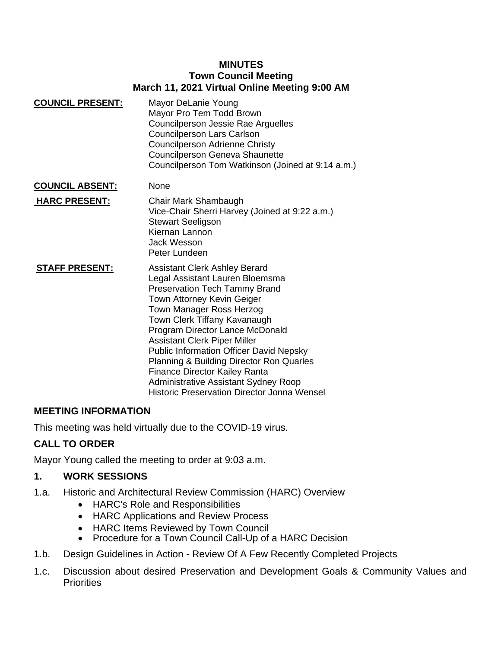### **MINUTES Town Council Meeting March 11, 2021 Virtual Online Meeting 9:00 AM**

- **COUNCIL PRESENT:** Mayor DeLanie Young Mayor Pro Tem Todd Brown Councilperson Jessie Rae Arguelles Councilperson Lars Carlson Councilperson Adrienne Christy Councilperson Geneva Shaunette Councilperson Tom Watkinson (Joined at 9:14 a.m.)
- **COUNCIL ABSENT:** None **HARC PRESENT:** Chair Mark Shambaugh Vice-Chair Sherri Harvey (Joined at 9:22 a.m.) Stewart Seeligson Kiernan Lannon Jack Wesson Peter Lundeen
- **STAFF PRESENT:** Assistant Clerk Ashley Berard Legal Assistant Lauren Bloemsma Preservation Tech Tammy Brand Town Attorney Kevin Geiger Town Manager Ross Herzog Town Clerk Tiffany Kavanaugh Program Director Lance McDonald Assistant Clerk Piper Miller Public Information Officer David Nepsky Planning & Building Director Ron Quarles Finance Director Kailey Ranta Administrative Assistant Sydney Roop Historic Preservation Director Jonna Wensel

# **MEETING INFORMATION**

This meeting was held virtually due to the COVID-19 virus.

# **CALL TO ORDER**

Mayor Young called the meeting to order at 9:03 a.m.

### **1. WORK SESSIONS**

- 1.a. Historic and Architectural Review Commission (HARC) Overview
	- HARC's Role and Responsibilities
	- HARC Applications and Review Process
	- HARC Items Reviewed by Town Council
	- Procedure for a Town Council Call-Up of a HARC Decision
- 1.b. Design Guidelines in Action Review Of A Few Recently Completed Projects
- 1.c. Discussion about desired Preservation and Development Goals & Community Values and **Priorities**